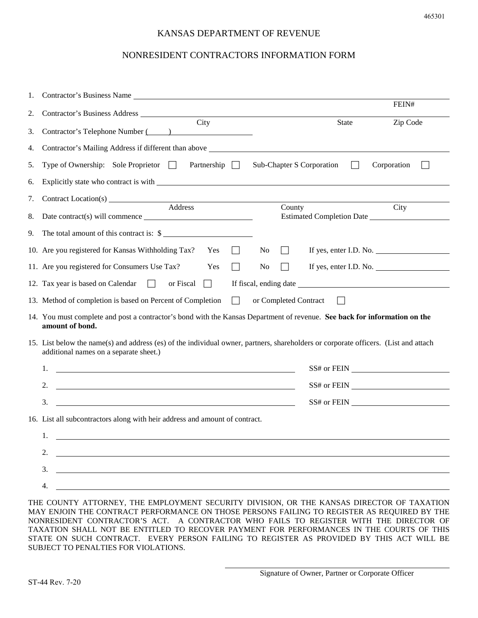## KANSAS DEPARTMENT OF REVENUE

## NONRESIDENT CONTRACTORS INFORMATION FORM

| 1.                                                                          | Contractor's Business Name                                                                                                                                                    |                                             |              |                                                                                       |
|-----------------------------------------------------------------------------|-------------------------------------------------------------------------------------------------------------------------------------------------------------------------------|---------------------------------------------|--------------|---------------------------------------------------------------------------------------|
| 2.                                                                          |                                                                                                                                                                               |                                             |              | FEIN#                                                                                 |
| 3.                                                                          | City<br>Contractor's Telephone Number (2002)                                                                                                                                  |                                             | <b>State</b> | Zip Code                                                                              |
| 4.                                                                          | Contractor's Mailing Address if different than above ___________________________                                                                                              |                                             |              |                                                                                       |
| 5.                                                                          | Type of Ownership: Sole Proprietor $\Box$<br>Partnership $\Box$                                                                                                               | Sub-Chapter S Corporation                   | $\perp$      | Corporation                                                                           |
| 6.                                                                          |                                                                                                                                                                               |                                             |              |                                                                                       |
| 7.                                                                          |                                                                                                                                                                               |                                             |              |                                                                                       |
| 8.                                                                          | Date contract(s) will commence                                                                                                                                                | County<br>City<br>Estimated Completion Date |              |                                                                                       |
| 9.                                                                          | The total amount of this contract is: $\frac{1}{2}$                                                                                                                           |                                             |              |                                                                                       |
|                                                                             | 10. Are you registered for Kansas Withholding Tax?<br>Yes<br>$\Box$<br>No                                                                                                     | $\perp$                                     |              | If yes, enter I.D. No. $\_\_\_\_\_\_\_\_\_\_\_\_\_\_\_\_\_\_\_\_\_\_\_\_\_\_\_\_\_\_$ |
|                                                                             | 11. Are you registered for Consumers Use Tax?<br>$\Box$<br>Yes<br>No                                                                                                          | $\perp$                                     |              | If yes, enter I.D. No.                                                                |
|                                                                             | or Fiscal $\Box$<br>12. Tax year is based on Calendar<br>$\Box$                                                                                                               |                                             |              |                                                                                       |
|                                                                             | 13. Method of completion is based on Percent of Completion<br>$\perp$                                                                                                         | or Completed Contract                       |              |                                                                                       |
|                                                                             | 14. You must complete and post a contractor's bond with the Kansas Department of revenue. See back for information on the<br>amount of bond.                                  |                                             |              |                                                                                       |
|                                                                             | 15. List below the name(s) and address (es) of the individual owner, partners, shareholders or corporate officers. (List and attach<br>additional names on a separate sheet.) |                                             |              |                                                                                       |
|                                                                             | 1.                                                                                                                                                                            |                                             |              |                                                                                       |
|                                                                             | 2.                                                                                                                                                                            |                                             |              |                                                                                       |
|                                                                             | 3.<br><u> 1989 - Johann Stoff, amerikansk politiker (* 1908)</u>                                                                                                              |                                             |              | $SS#$ or FEIN $\_\_\_\_\_\_\_\_\_\_\_\_\_\_\_\_\_\_\_\_\_\_\_\_$                      |
| 16. List all subcontractors along with heir address and amount of contract. |                                                                                                                                                                               |                                             |              |                                                                                       |
|                                                                             |                                                                                                                                                                               |                                             |              |                                                                                       |
|                                                                             | 2.                                                                                                                                                                            |                                             |              |                                                                                       |
|                                                                             | 3.<br><u> 1999 - Johann Stoff, amerikansk politiker (d. 1989)</u>                                                                                                             |                                             |              |                                                                                       |
|                                                                             | 4.                                                                                                                                                                            |                                             |              |                                                                                       |

THE COUNTY ATTORNEY, THE EMPLOYMENT SECURITY DIVISION, OR THE KANSAS DIRECTOR OF TAXATION MAY ENJOIN THE CONTRACT PERFORMANCE ON THOSE PERSONS FAILING TO REGISTER AS REQUIRED BY THE NONRESIDENT CONTRACTOR'S ACT. A CONTRACTOR WHO FAILS TO REGISTER WITH THE DIRECTOR OF TAXATION SHALL NOT BE ENTITLED TO RECOVER PAYMENT FOR PERFORMANCES IN THE COURTS OF THIS STATE ON SUCH CONTRACT. EVERY PERSON FAILING TO REGISTER AS PROVIDED BY THIS ACT WILL BE SUBJECT TO PENALTIES FOR VIOLATIONS.